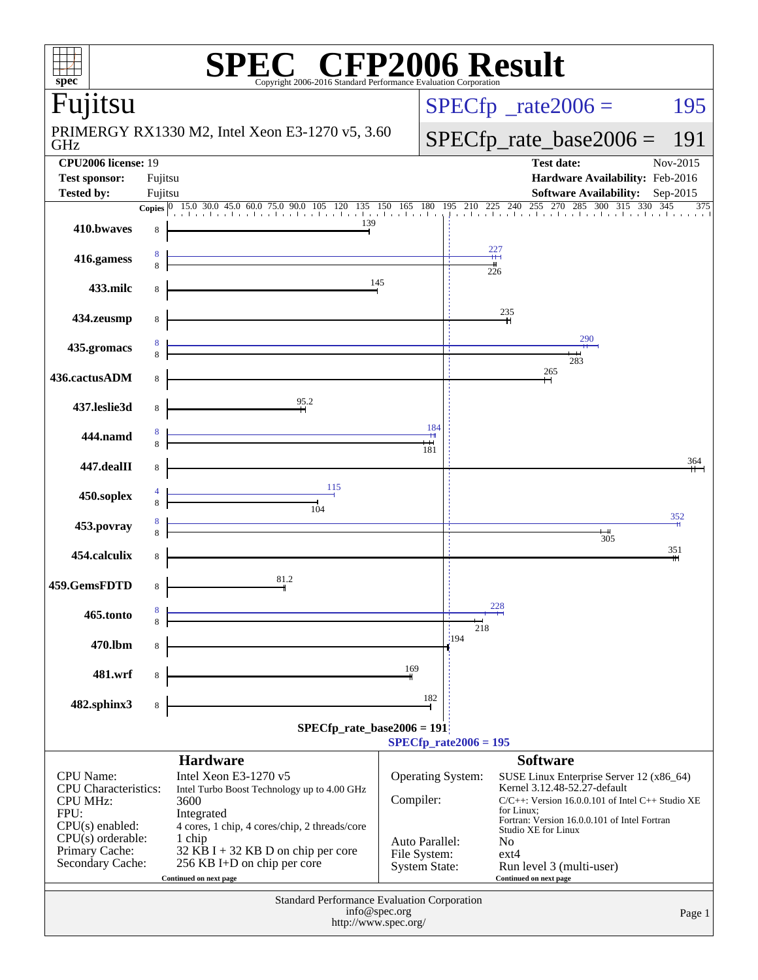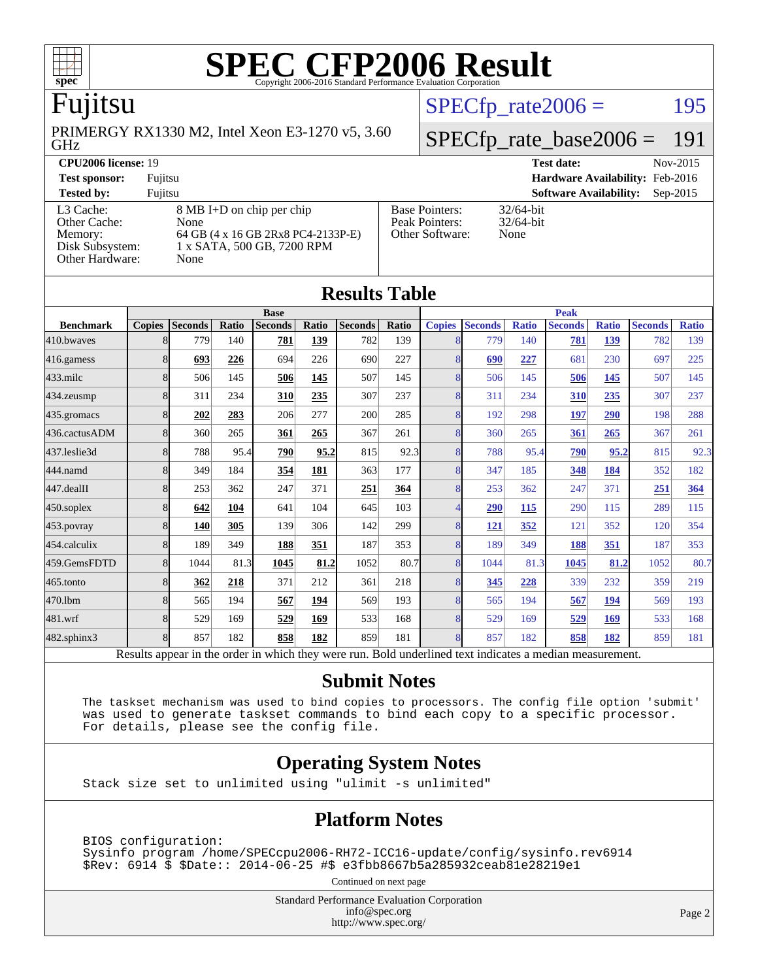

## Fujitsu

GHz PRIMERGY RX1330 M2, Intel Xeon E3-1270 v5, 3.60  $SPECTp_rate2006 = 195$ 

# [SPECfp\\_rate\\_base2006 =](http://www.spec.org/auto/cpu2006/Docs/result-fields.html#SPECfpratebase2006) 191

| <b>CPU2006 license: 19</b> |                                    |                                 | Nov-2015<br><b>Test date:</b>               |
|----------------------------|------------------------------------|---------------------------------|---------------------------------------------|
| <b>Test sponsor:</b>       | Fujitsu                            | Hardware Availability: Feb-2016 |                                             |
| <b>Tested by:</b>          | Fuiitsu                            |                                 | <b>Software Availability:</b><br>$Sep-2015$ |
| L3 Cache:                  | 8 MB I+D on chip per chip          | <b>Base Pointers:</b>           | $32/64$ -bit                                |
| Other Cache:               | None                               | Peak Pointers:                  | $32/64$ -bit                                |
| Memory:                    | 64 GB (4 x 16 GB 2Rx8 PC4-2133P-E) | Other Software:                 | None                                        |
| Disk Subsystem:            | 1 x SATA, 500 GB, 7200 RPM         |                                 |                                             |
| <b>Other Hardware:</b>     | None                               |                                 |                                             |

**[Results Table](http://www.spec.org/auto/cpu2006/Docs/result-fields.html#ResultsTable)**

| Results Tadie    |               |                |       |                                                                                                          |       |                |       |                |                |              |                |              |                |              |
|------------------|---------------|----------------|-------|----------------------------------------------------------------------------------------------------------|-------|----------------|-------|----------------|----------------|--------------|----------------|--------------|----------------|--------------|
|                  | <b>Base</b>   |                |       |                                                                                                          |       | <b>Peak</b>    |       |                |                |              |                |              |                |              |
| <b>Benchmark</b> | <b>Copies</b> | <b>Seconds</b> | Ratio | <b>Seconds</b>                                                                                           | Ratio | <b>Seconds</b> | Ratio | <b>Copies</b>  | <b>Seconds</b> | <b>Ratio</b> | <b>Seconds</b> | <b>Ratio</b> | <b>Seconds</b> | <b>Ratio</b> |
| 410.bwaves       | 8             | 779            | 140   | 781                                                                                                      | 139   | 782            | 139   |                | 779            | 140          | 781            | 139          | 782            | 139          |
| 416.gamess       | 8             | 693            | 226   | 694                                                                                                      | 226   | 690            | 227   | 8              | 690            | 227          | 681            | 230          | 697            | 225          |
| $433$ .milc      | 8             | 506            | 145   | 506                                                                                                      | 145   | 507            | 145   | 8              | 506            | 145          | 506            | 145          | 507            | 145          |
| 434.zeusmp       | 8             | 311            | 234   | 310                                                                                                      | 235   | 307            | 237   | 8              | 311            | 234          | 310            | 235          | 307            | 237          |
| 435.gromacs      | 8             | 202            | 283   | 206                                                                                                      | 277   | 200            | 285   | 8              | 192            | 298          | 197            | 290          | 198            | 288          |
| 436.cactusADM    | 8             | 360            | 265   | 361                                                                                                      | 265   | 367            | 261   | 8              | 360            | 265          | 361            | 265          | 367            | 261          |
| 437.leslie3d     | 8             | 788            | 95.4  | 790                                                                                                      | 95.2  | 815            | 92.3  | 8              | 788            | 95.4         | 790            | 95.2         | 815            | 92.3         |
| 444.namd         | 8             | 349            | 184   | 354                                                                                                      | 181   | 363            | 177   | 8              | 347            | 185          | 348            | 184          | 352            | 182          |
| 447.dealII       | 8             | 253            | 362   | 247                                                                                                      | 371   | 251            | 364   | 8              | 253            | 362          | 247            | 371          | 251            | 364          |
| $450$ .soplex    | 8             | 642            | 104   | 641                                                                                                      | 104   | 645            | 103   | $\overline{4}$ | 290            | 115          | 290            | 115          | 289            | 115          |
| 453.povray       | 8             | 140            | 305   | 139                                                                                                      | 306   | 142            | 299   | 8              | <u>121</u>     | 352          | 121            | 352          | 120            | 354          |
| 454.calculix     | 8             | 189            | 349   | 188                                                                                                      | 351   | 187            | 353   | 8              | 189            | 349          | 188            | 351          | 187            | 353          |
| 459.GemsFDTD     | 8             | 1044           | 81.3  | 1045                                                                                                     | 81.2  | 1052           | 80.7  | 8              | 1044           | 81.3         | 1045           | 81.2         | 1052           | 80.7         |
| $465$ .tonto     | 8             | 362            | 218   | 371                                                                                                      | 212   | 361            | 218   | 8              | 345            | 228          | 339            | 232          | 359            | 219          |
| 470.1bm          | 8             | 565            | 194   | 567                                                                                                      | 194   | 569            | 193   | 8              | 565            | 194          | 567            | 194          | 569            | 193          |
| 481.wrf          | 8             | 529            | 169   | 529                                                                                                      | 169   | 533            | 168   | 8              | 529            | 169          | 529            | 169          | 533            | 168          |
| 482.sphinx3      | 8             | 857            | 182   | 858                                                                                                      | 182   | 859            | 181   | 8              | 857            | 182          | 858            | 182          | 859            | 181          |
|                  |               |                |       | Results appear in the order in which they were run. Bold underlined text indicates a median measurement. |       |                |       |                |                |              |                |              |                |              |

#### **[Submit Notes](http://www.spec.org/auto/cpu2006/Docs/result-fields.html#SubmitNotes)**

 The taskset mechanism was used to bind copies to processors. The config file option 'submit' was used to generate taskset commands to bind each copy to a specific processor. For details, please see the config file.

### **[Operating System Notes](http://www.spec.org/auto/cpu2006/Docs/result-fields.html#OperatingSystemNotes)**

Stack size set to unlimited using "ulimit -s unlimited"

### **[Platform Notes](http://www.spec.org/auto/cpu2006/Docs/result-fields.html#PlatformNotes)**

 BIOS configuration: Sysinfo program /home/SPECcpu2006-RH72-ICC16-update/config/sysinfo.rev6914 \$Rev: 6914 \$ \$Date:: 2014-06-25 #\$ e3fbb8667b5a285932ceab81e28219e1

Continued on next page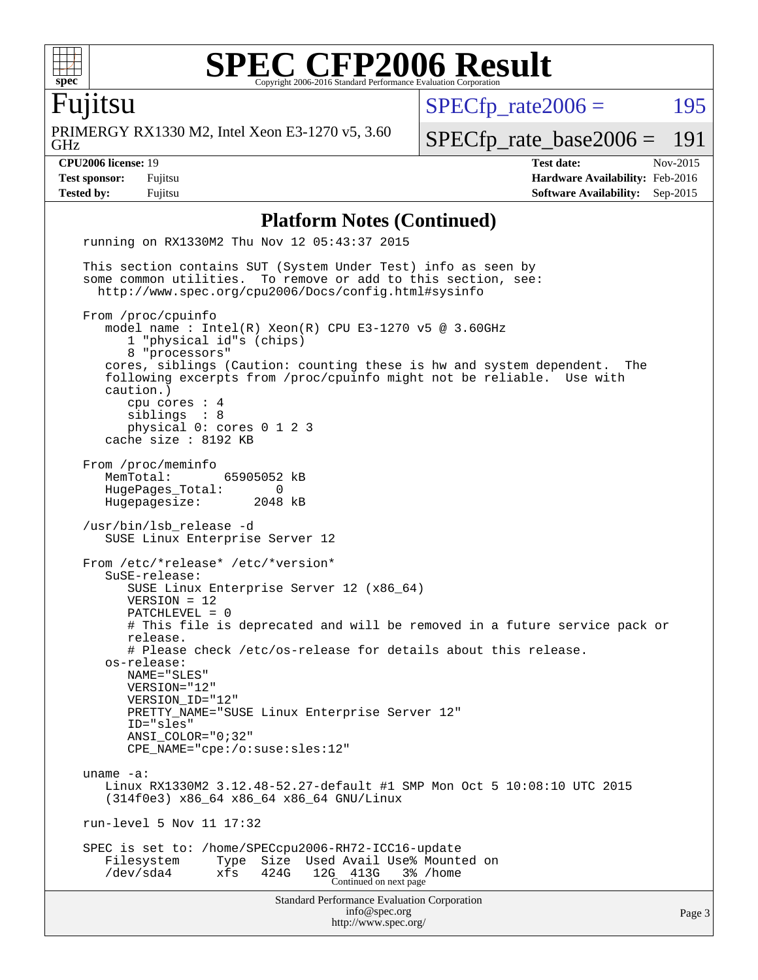

Fujitsu

GHz PRIMERGY RX1330 M2, Intel Xeon E3-1270 v5, 3.60  $SPECTp_rate2006 = 195$ 

[SPECfp\\_rate\\_base2006 =](http://www.spec.org/auto/cpu2006/Docs/result-fields.html#SPECfpratebase2006) 191

**[CPU2006 license:](http://www.spec.org/auto/cpu2006/Docs/result-fields.html#CPU2006license)** 19 **[Test date:](http://www.spec.org/auto/cpu2006/Docs/result-fields.html#Testdate)** Nov-2015 **[Test sponsor:](http://www.spec.org/auto/cpu2006/Docs/result-fields.html#Testsponsor)** Fujitsu **[Hardware Availability:](http://www.spec.org/auto/cpu2006/Docs/result-fields.html#HardwareAvailability)** Feb-2016 **[Tested by:](http://www.spec.org/auto/cpu2006/Docs/result-fields.html#Testedby)** Fujitsu **[Software Availability:](http://www.spec.org/auto/cpu2006/Docs/result-fields.html#SoftwareAvailability)** Sep-2015

#### **[Platform Notes \(Continued\)](http://www.spec.org/auto/cpu2006/Docs/result-fields.html#PlatformNotes)**

Standard Performance Evaluation Corporation [info@spec.org](mailto:info@spec.org) <http://www.spec.org/> Page 3 running on RX1330M2 Thu Nov 12 05:43:37 2015 This section contains SUT (System Under Test) info as seen by some common utilities. To remove or add to this section, see: <http://www.spec.org/cpu2006/Docs/config.html#sysinfo> From /proc/cpuinfo model name : Intel(R) Xeon(R) CPU E3-1270 v5 @ 3.60GHz 1 "physical id"s (chips) 8 "processors" cores, siblings (Caution: counting these is hw and system dependent. The following excerpts from /proc/cpuinfo might not be reliable. Use with caution.) cpu cores : 4 siblings : 8 physical 0: cores 0 1 2 3 cache size : 8192 KB From /proc/meminfo<br>MemTotal: 65905052 kB HugePages\_Total: 0 Hugepagesize: 2048 kB /usr/bin/lsb\_release -d SUSE Linux Enterprise Server 12 From /etc/\*release\* /etc/\*version\* SuSE-release: SUSE Linux Enterprise Server 12 (x86\_64) VERSION = 12 PATCHLEVEL = 0 # This file is deprecated and will be removed in a future service pack or release. # Please check /etc/os-release for details about this release. os-release: NAME="SLES" VERSION="12" VERSION\_ID="12" PRETTY\_NAME="SUSE Linux Enterprise Server 12" ID="sles" ANSI\_COLOR="0;32" CPE\_NAME="cpe:/o:suse:sles:12" uname -a: Linux RX1330M2 3.12.48-52.27-default #1 SMP Mon Oct 5 10:08:10 UTC 2015 (314f0e3) x86\_64 x86\_64 x86\_64 GNU/Linux run-level 5 Nov 11 17:32 SPEC is set to: /home/SPECcpu2006-RH72-ICC16-update Filesystem Type Size Used Avail Use% Mounted on /dev/sda4 xfs 424G 12G 413G 3% /home Continued on next page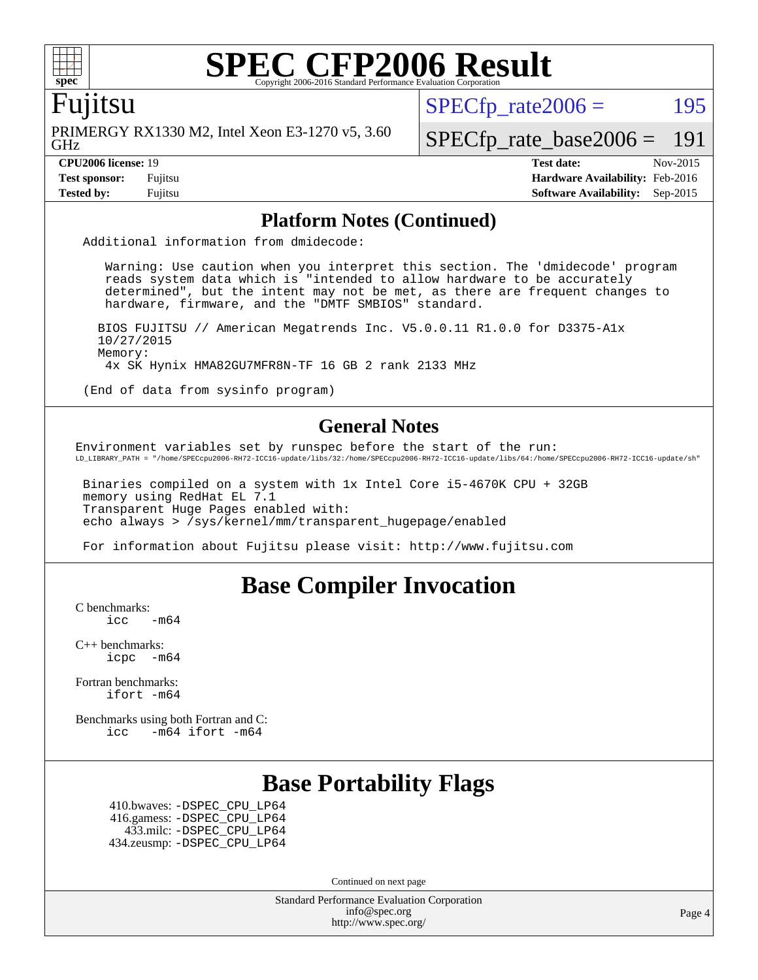

### Fujitsu

GHz PRIMERGY RX1330 M2, Intel Xeon E3-1270 v5, 3.60  $SPECTp\_rate2006 = 195$ 

[SPECfp\\_rate\\_base2006 =](http://www.spec.org/auto/cpu2006/Docs/result-fields.html#SPECfpratebase2006) 191

**[CPU2006 license:](http://www.spec.org/auto/cpu2006/Docs/result-fields.html#CPU2006license)** 19 **[Test date:](http://www.spec.org/auto/cpu2006/Docs/result-fields.html#Testdate)** Nov-2015 **[Test sponsor:](http://www.spec.org/auto/cpu2006/Docs/result-fields.html#Testsponsor)** Fujitsu **[Hardware Availability:](http://www.spec.org/auto/cpu2006/Docs/result-fields.html#HardwareAvailability)** Feb-2016 **[Tested by:](http://www.spec.org/auto/cpu2006/Docs/result-fields.html#Testedby)** Fujitsu **[Software Availability:](http://www.spec.org/auto/cpu2006/Docs/result-fields.html#SoftwareAvailability)** Sep-2015

### **[Platform Notes \(Continued\)](http://www.spec.org/auto/cpu2006/Docs/result-fields.html#PlatformNotes)**

Additional information from dmidecode:

 Warning: Use caution when you interpret this section. The 'dmidecode' program reads system data which is "intended to allow hardware to be accurately determined", but the intent may not be met, as there are frequent changes to hardware, firmware, and the "DMTF SMBIOS" standard.

 BIOS FUJITSU // American Megatrends Inc. V5.0.0.11 R1.0.0 for D3375-A1x 10/27/2015 Memory: 4x SK Hynix HMA82GU7MFR8N-TF 16 GB 2 rank 2133 MHz

(End of data from sysinfo program)

### **[General Notes](http://www.spec.org/auto/cpu2006/Docs/result-fields.html#GeneralNotes)**

Environment variables set by runspec before the start of the run: LD\_LIBRARY\_PATH = "/home/SPECcpu2006-RH72-ICC16-update/libs/32:/home/SPECcpu2006-RH72-ICC16-update/libs/64:/home/SPECcpu2006-RH72-ICC16-update/sh"

 Binaries compiled on a system with 1x Intel Core i5-4670K CPU + 32GB memory using RedHat EL 7.1 Transparent Huge Pages enabled with: echo always > /sys/kernel/mm/transparent\_hugepage/enabled

For information about Fujitsu please visit: <http://www.fujitsu.com>

## **[Base Compiler Invocation](http://www.spec.org/auto/cpu2006/Docs/result-fields.html#BaseCompilerInvocation)**

[C benchmarks](http://www.spec.org/auto/cpu2006/Docs/result-fields.html#Cbenchmarks):

 $\text{icc}$   $-\text{m64}$ 

[C++ benchmarks:](http://www.spec.org/auto/cpu2006/Docs/result-fields.html#CXXbenchmarks) [icpc -m64](http://www.spec.org/cpu2006/results/res2016q1/cpu2006-20160111-38671.flags.html#user_CXXbase_intel_icpc_64bit_bedb90c1146cab66620883ef4f41a67e)

[Fortran benchmarks](http://www.spec.org/auto/cpu2006/Docs/result-fields.html#Fortranbenchmarks): [ifort -m64](http://www.spec.org/cpu2006/results/res2016q1/cpu2006-20160111-38671.flags.html#user_FCbase_intel_ifort_64bit_ee9d0fb25645d0210d97eb0527dcc06e)

[Benchmarks using both Fortran and C](http://www.spec.org/auto/cpu2006/Docs/result-fields.html#BenchmarksusingbothFortranandC): [icc -m64](http://www.spec.org/cpu2006/results/res2016q1/cpu2006-20160111-38671.flags.html#user_CC_FCbase_intel_icc_64bit_0b7121f5ab7cfabee23d88897260401c) [ifort -m64](http://www.spec.org/cpu2006/results/res2016q1/cpu2006-20160111-38671.flags.html#user_CC_FCbase_intel_ifort_64bit_ee9d0fb25645d0210d97eb0527dcc06e)

## **[Base Portability Flags](http://www.spec.org/auto/cpu2006/Docs/result-fields.html#BasePortabilityFlags)**

 410.bwaves: [-DSPEC\\_CPU\\_LP64](http://www.spec.org/cpu2006/results/res2016q1/cpu2006-20160111-38671.flags.html#suite_basePORTABILITY410_bwaves_DSPEC_CPU_LP64) 416.gamess: [-DSPEC\\_CPU\\_LP64](http://www.spec.org/cpu2006/results/res2016q1/cpu2006-20160111-38671.flags.html#suite_basePORTABILITY416_gamess_DSPEC_CPU_LP64) 433.milc: [-DSPEC\\_CPU\\_LP64](http://www.spec.org/cpu2006/results/res2016q1/cpu2006-20160111-38671.flags.html#suite_basePORTABILITY433_milc_DSPEC_CPU_LP64) 434.zeusmp: [-DSPEC\\_CPU\\_LP64](http://www.spec.org/cpu2006/results/res2016q1/cpu2006-20160111-38671.flags.html#suite_basePORTABILITY434_zeusmp_DSPEC_CPU_LP64)

Continued on next page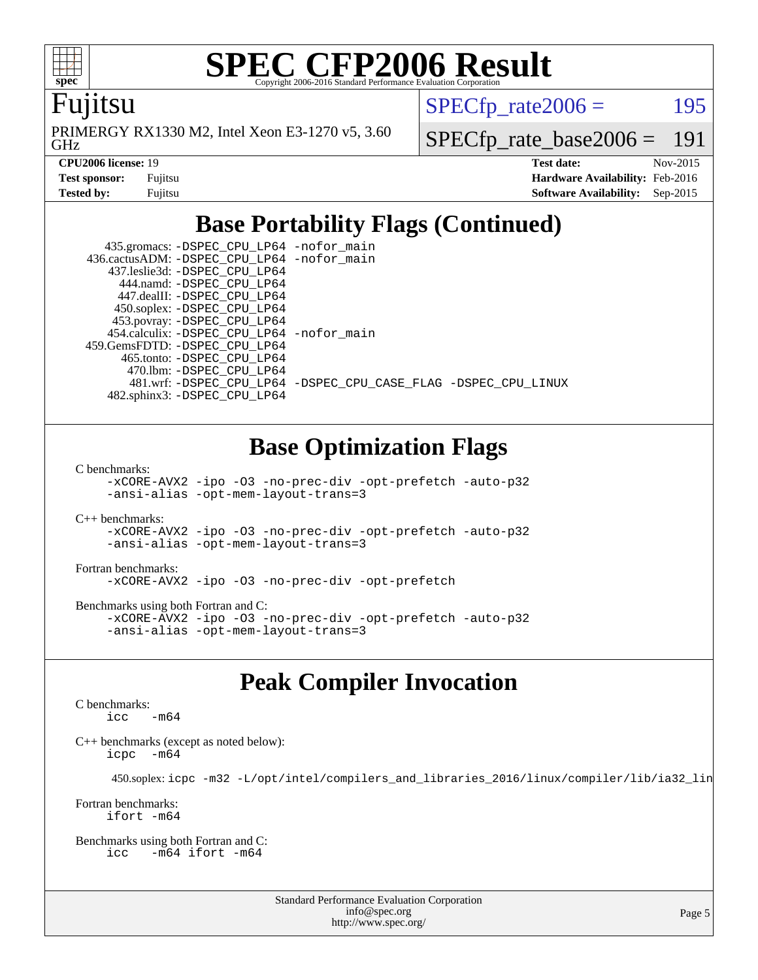

Fujitsu

GHz PRIMERGY RX1330 M2, Intel Xeon E3-1270 v5, 3.60  $SPECTp\_rate2006 = 195$ 

[SPECfp\\_rate\\_base2006 =](http://www.spec.org/auto/cpu2006/Docs/result-fields.html#SPECfpratebase2006) 191

| <b>Test sponsor:</b> | Fujitsu |
|----------------------|---------|
| Tested by:           | Fuiitsu |

**[CPU2006 license:](http://www.spec.org/auto/cpu2006/Docs/result-fields.html#CPU2006license)** 19 **[Test date:](http://www.spec.org/auto/cpu2006/Docs/result-fields.html#Testdate)** Nov-2015 **[Hardware Availability:](http://www.spec.org/auto/cpu2006/Docs/result-fields.html#HardwareAvailability)** Feb-2016 **[Software Availability:](http://www.spec.org/auto/cpu2006/Docs/result-fields.html#SoftwareAvailability)** Sep-2015

# **[Base Portability Flags \(Continued\)](http://www.spec.org/auto/cpu2006/Docs/result-fields.html#BasePortabilityFlags)**

 435.gromacs: [-DSPEC\\_CPU\\_LP64](http://www.spec.org/cpu2006/results/res2016q1/cpu2006-20160111-38671.flags.html#suite_basePORTABILITY435_gromacs_DSPEC_CPU_LP64) [-nofor\\_main](http://www.spec.org/cpu2006/results/res2016q1/cpu2006-20160111-38671.flags.html#user_baseLDPORTABILITY435_gromacs_f-nofor_main) 436.cactusADM: [-DSPEC\\_CPU\\_LP64](http://www.spec.org/cpu2006/results/res2016q1/cpu2006-20160111-38671.flags.html#suite_basePORTABILITY436_cactusADM_DSPEC_CPU_LP64) [-nofor\\_main](http://www.spec.org/cpu2006/results/res2016q1/cpu2006-20160111-38671.flags.html#user_baseLDPORTABILITY436_cactusADM_f-nofor_main) 437.leslie3d: [-DSPEC\\_CPU\\_LP64](http://www.spec.org/cpu2006/results/res2016q1/cpu2006-20160111-38671.flags.html#suite_basePORTABILITY437_leslie3d_DSPEC_CPU_LP64) 444.namd: [-DSPEC\\_CPU\\_LP64](http://www.spec.org/cpu2006/results/res2016q1/cpu2006-20160111-38671.flags.html#suite_basePORTABILITY444_namd_DSPEC_CPU_LP64) 447.dealII: [-DSPEC\\_CPU\\_LP64](http://www.spec.org/cpu2006/results/res2016q1/cpu2006-20160111-38671.flags.html#suite_basePORTABILITY447_dealII_DSPEC_CPU_LP64) 450.soplex: [-DSPEC\\_CPU\\_LP64](http://www.spec.org/cpu2006/results/res2016q1/cpu2006-20160111-38671.flags.html#suite_basePORTABILITY450_soplex_DSPEC_CPU_LP64) 453.povray: [-DSPEC\\_CPU\\_LP64](http://www.spec.org/cpu2006/results/res2016q1/cpu2006-20160111-38671.flags.html#suite_basePORTABILITY453_povray_DSPEC_CPU_LP64) 454.calculix: [-DSPEC\\_CPU\\_LP64](http://www.spec.org/cpu2006/results/res2016q1/cpu2006-20160111-38671.flags.html#suite_basePORTABILITY454_calculix_DSPEC_CPU_LP64) [-nofor\\_main](http://www.spec.org/cpu2006/results/res2016q1/cpu2006-20160111-38671.flags.html#user_baseLDPORTABILITY454_calculix_f-nofor_main) 459.GemsFDTD: [-DSPEC\\_CPU\\_LP64](http://www.spec.org/cpu2006/results/res2016q1/cpu2006-20160111-38671.flags.html#suite_basePORTABILITY459_GemsFDTD_DSPEC_CPU_LP64) 465.tonto: [-DSPEC\\_CPU\\_LP64](http://www.spec.org/cpu2006/results/res2016q1/cpu2006-20160111-38671.flags.html#suite_basePORTABILITY465_tonto_DSPEC_CPU_LP64) 470.lbm: [-DSPEC\\_CPU\\_LP64](http://www.spec.org/cpu2006/results/res2016q1/cpu2006-20160111-38671.flags.html#suite_basePORTABILITY470_lbm_DSPEC_CPU_LP64) 481.wrf: [-DSPEC\\_CPU\\_LP64](http://www.spec.org/cpu2006/results/res2016q1/cpu2006-20160111-38671.flags.html#suite_basePORTABILITY481_wrf_DSPEC_CPU_LP64) [-DSPEC\\_CPU\\_CASE\\_FLAG](http://www.spec.org/cpu2006/results/res2016q1/cpu2006-20160111-38671.flags.html#b481.wrf_baseCPORTABILITY_DSPEC_CPU_CASE_FLAG) [-DSPEC\\_CPU\\_LINUX](http://www.spec.org/cpu2006/results/res2016q1/cpu2006-20160111-38671.flags.html#b481.wrf_baseCPORTABILITY_DSPEC_CPU_LINUX) 482.sphinx3: [-DSPEC\\_CPU\\_LP64](http://www.spec.org/cpu2006/results/res2016q1/cpu2006-20160111-38671.flags.html#suite_basePORTABILITY482_sphinx3_DSPEC_CPU_LP64)

# **[Base Optimization Flags](http://www.spec.org/auto/cpu2006/Docs/result-fields.html#BaseOptimizationFlags)**

[C benchmarks](http://www.spec.org/auto/cpu2006/Docs/result-fields.html#Cbenchmarks):

[-xCORE-AVX2](http://www.spec.org/cpu2006/results/res2016q1/cpu2006-20160111-38671.flags.html#user_CCbase_f-xAVX2_5f5fc0cbe2c9f62c816d3e45806c70d7) [-ipo](http://www.spec.org/cpu2006/results/res2016q1/cpu2006-20160111-38671.flags.html#user_CCbase_f-ipo) [-O3](http://www.spec.org/cpu2006/results/res2016q1/cpu2006-20160111-38671.flags.html#user_CCbase_f-O3) [-no-prec-div](http://www.spec.org/cpu2006/results/res2016q1/cpu2006-20160111-38671.flags.html#user_CCbase_f-no-prec-div) [-opt-prefetch](http://www.spec.org/cpu2006/results/res2016q1/cpu2006-20160111-38671.flags.html#user_CCbase_f-opt-prefetch) [-auto-p32](http://www.spec.org/cpu2006/results/res2016q1/cpu2006-20160111-38671.flags.html#user_CCbase_f-auto-p32) [-ansi-alias](http://www.spec.org/cpu2006/results/res2016q1/cpu2006-20160111-38671.flags.html#user_CCbase_f-ansi-alias) [-opt-mem-layout-trans=3](http://www.spec.org/cpu2006/results/res2016q1/cpu2006-20160111-38671.flags.html#user_CCbase_f-opt-mem-layout-trans_a7b82ad4bd7abf52556d4961a2ae94d5)

[C++ benchmarks:](http://www.spec.org/auto/cpu2006/Docs/result-fields.html#CXXbenchmarks) [-xCORE-AVX2](http://www.spec.org/cpu2006/results/res2016q1/cpu2006-20160111-38671.flags.html#user_CXXbase_f-xAVX2_5f5fc0cbe2c9f62c816d3e45806c70d7) [-ipo](http://www.spec.org/cpu2006/results/res2016q1/cpu2006-20160111-38671.flags.html#user_CXXbase_f-ipo) [-O3](http://www.spec.org/cpu2006/results/res2016q1/cpu2006-20160111-38671.flags.html#user_CXXbase_f-O3) [-no-prec-div](http://www.spec.org/cpu2006/results/res2016q1/cpu2006-20160111-38671.flags.html#user_CXXbase_f-no-prec-div) [-opt-prefetch](http://www.spec.org/cpu2006/results/res2016q1/cpu2006-20160111-38671.flags.html#user_CXXbase_f-opt-prefetch) [-auto-p32](http://www.spec.org/cpu2006/results/res2016q1/cpu2006-20160111-38671.flags.html#user_CXXbase_f-auto-p32) [-ansi-alias](http://www.spec.org/cpu2006/results/res2016q1/cpu2006-20160111-38671.flags.html#user_CXXbase_f-ansi-alias) [-opt-mem-layout-trans=3](http://www.spec.org/cpu2006/results/res2016q1/cpu2006-20160111-38671.flags.html#user_CXXbase_f-opt-mem-layout-trans_a7b82ad4bd7abf52556d4961a2ae94d5)

[Fortran benchmarks](http://www.spec.org/auto/cpu2006/Docs/result-fields.html#Fortranbenchmarks): [-xCORE-AVX2](http://www.spec.org/cpu2006/results/res2016q1/cpu2006-20160111-38671.flags.html#user_FCbase_f-xAVX2_5f5fc0cbe2c9f62c816d3e45806c70d7) [-ipo](http://www.spec.org/cpu2006/results/res2016q1/cpu2006-20160111-38671.flags.html#user_FCbase_f-ipo) [-O3](http://www.spec.org/cpu2006/results/res2016q1/cpu2006-20160111-38671.flags.html#user_FCbase_f-O3) [-no-prec-div](http://www.spec.org/cpu2006/results/res2016q1/cpu2006-20160111-38671.flags.html#user_FCbase_f-no-prec-div) [-opt-prefetch](http://www.spec.org/cpu2006/results/res2016q1/cpu2006-20160111-38671.flags.html#user_FCbase_f-opt-prefetch)

[Benchmarks using both Fortran and C](http://www.spec.org/auto/cpu2006/Docs/result-fields.html#BenchmarksusingbothFortranandC): [-xCORE-AVX2](http://www.spec.org/cpu2006/results/res2016q1/cpu2006-20160111-38671.flags.html#user_CC_FCbase_f-xAVX2_5f5fc0cbe2c9f62c816d3e45806c70d7) [-ipo](http://www.spec.org/cpu2006/results/res2016q1/cpu2006-20160111-38671.flags.html#user_CC_FCbase_f-ipo) [-O3](http://www.spec.org/cpu2006/results/res2016q1/cpu2006-20160111-38671.flags.html#user_CC_FCbase_f-O3) [-no-prec-div](http://www.spec.org/cpu2006/results/res2016q1/cpu2006-20160111-38671.flags.html#user_CC_FCbase_f-no-prec-div) [-opt-prefetch](http://www.spec.org/cpu2006/results/res2016q1/cpu2006-20160111-38671.flags.html#user_CC_FCbase_f-opt-prefetch) [-auto-p32](http://www.spec.org/cpu2006/results/res2016q1/cpu2006-20160111-38671.flags.html#user_CC_FCbase_f-auto-p32) [-ansi-alias](http://www.spec.org/cpu2006/results/res2016q1/cpu2006-20160111-38671.flags.html#user_CC_FCbase_f-ansi-alias) [-opt-mem-layout-trans=3](http://www.spec.org/cpu2006/results/res2016q1/cpu2006-20160111-38671.flags.html#user_CC_FCbase_f-opt-mem-layout-trans_a7b82ad4bd7abf52556d4961a2ae94d5)

## **[Peak Compiler Invocation](http://www.spec.org/auto/cpu2006/Docs/result-fields.html#PeakCompilerInvocation)**

[C benchmarks](http://www.spec.org/auto/cpu2006/Docs/result-fields.html#Cbenchmarks):  $\text{icc}$   $-\text{m64}$ 

[C++ benchmarks \(except as noted below\):](http://www.spec.org/auto/cpu2006/Docs/result-fields.html#CXXbenchmarksexceptasnotedbelow) [icpc -m64](http://www.spec.org/cpu2006/results/res2016q1/cpu2006-20160111-38671.flags.html#user_CXXpeak_intel_icpc_64bit_bedb90c1146cab66620883ef4f41a67e)

450.soplex: [icpc -m32 -L/opt/intel/compilers\\_and\\_libraries\\_2016/linux/compiler/lib/ia32\\_lin](http://www.spec.org/cpu2006/results/res2016q1/cpu2006-20160111-38671.flags.html#user_peakCXXLD450_soplex_intel_icpc_b4f50a394bdb4597aa5879c16bc3f5c5)

[Fortran benchmarks](http://www.spec.org/auto/cpu2006/Docs/result-fields.html#Fortranbenchmarks): [ifort -m64](http://www.spec.org/cpu2006/results/res2016q1/cpu2006-20160111-38671.flags.html#user_FCpeak_intel_ifort_64bit_ee9d0fb25645d0210d97eb0527dcc06e)

[Benchmarks using both Fortran and C](http://www.spec.org/auto/cpu2006/Docs/result-fields.html#BenchmarksusingbothFortranandC): [icc -m64](http://www.spec.org/cpu2006/results/res2016q1/cpu2006-20160111-38671.flags.html#user_CC_FCpeak_intel_icc_64bit_0b7121f5ab7cfabee23d88897260401c) [ifort -m64](http://www.spec.org/cpu2006/results/res2016q1/cpu2006-20160111-38671.flags.html#user_CC_FCpeak_intel_ifort_64bit_ee9d0fb25645d0210d97eb0527dcc06e)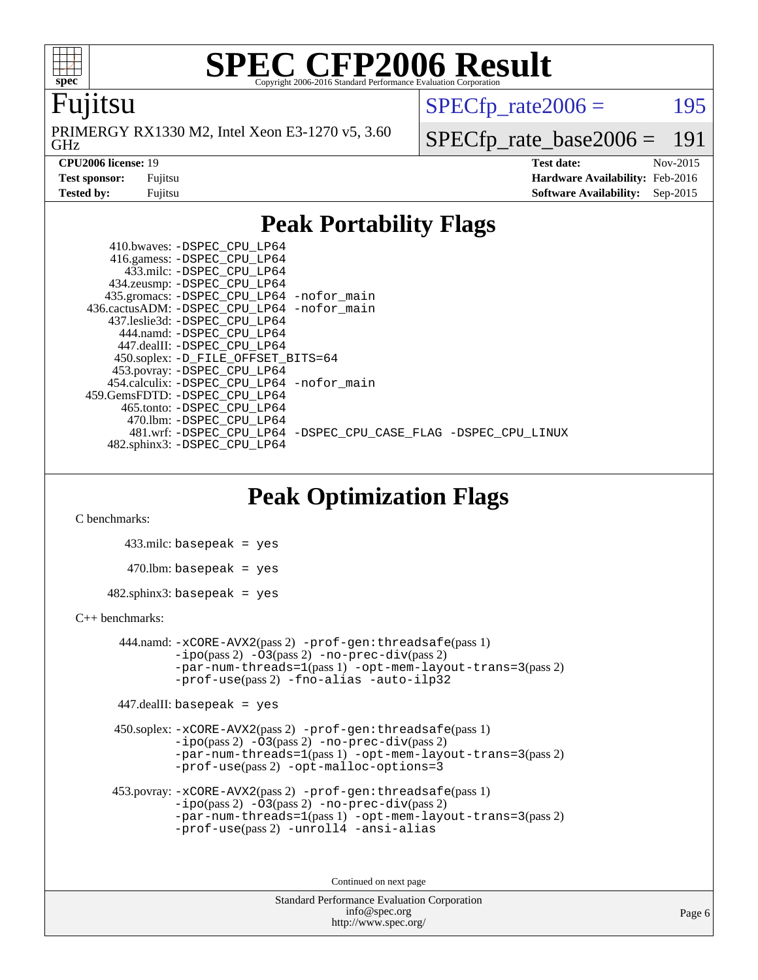

### Fujitsu

GHz PRIMERGY RX1330 M2, Intel Xeon E3-1270 v5, 3.60  $SPECTp\_rate2006 = 195$ 

**[CPU2006 license:](http://www.spec.org/auto/cpu2006/Docs/result-fields.html#CPU2006license)** 19 **[Test date:](http://www.spec.org/auto/cpu2006/Docs/result-fields.html#Testdate)** Nov-2015

[SPECfp\\_rate\\_base2006 =](http://www.spec.org/auto/cpu2006/Docs/result-fields.html#SPECfpratebase2006) 191

**[Test sponsor:](http://www.spec.org/auto/cpu2006/Docs/result-fields.html#Testsponsor)** Fujitsu **[Hardware Availability:](http://www.spec.org/auto/cpu2006/Docs/result-fields.html#HardwareAvailability)** Feb-2016 **[Tested by:](http://www.spec.org/auto/cpu2006/Docs/result-fields.html#Testedby)** Fujitsu **[Software Availability:](http://www.spec.org/auto/cpu2006/Docs/result-fields.html#SoftwareAvailability)** Sep-2015

## **[Peak Portability Flags](http://www.spec.org/auto/cpu2006/Docs/result-fields.html#PeakPortabilityFlags)**

 410.bwaves: [-DSPEC\\_CPU\\_LP64](http://www.spec.org/cpu2006/results/res2016q1/cpu2006-20160111-38671.flags.html#suite_peakPORTABILITY410_bwaves_DSPEC_CPU_LP64) 416.gamess: [-DSPEC\\_CPU\\_LP64](http://www.spec.org/cpu2006/results/res2016q1/cpu2006-20160111-38671.flags.html#suite_peakPORTABILITY416_gamess_DSPEC_CPU_LP64) 433.milc: [-DSPEC\\_CPU\\_LP64](http://www.spec.org/cpu2006/results/res2016q1/cpu2006-20160111-38671.flags.html#suite_peakPORTABILITY433_milc_DSPEC_CPU_LP64) 434.zeusmp: [-DSPEC\\_CPU\\_LP64](http://www.spec.org/cpu2006/results/res2016q1/cpu2006-20160111-38671.flags.html#suite_peakPORTABILITY434_zeusmp_DSPEC_CPU_LP64) 435.gromacs: [-DSPEC\\_CPU\\_LP64](http://www.spec.org/cpu2006/results/res2016q1/cpu2006-20160111-38671.flags.html#suite_peakPORTABILITY435_gromacs_DSPEC_CPU_LP64) [-nofor\\_main](http://www.spec.org/cpu2006/results/res2016q1/cpu2006-20160111-38671.flags.html#user_peakLDPORTABILITY435_gromacs_f-nofor_main) 436.cactusADM: [-DSPEC\\_CPU\\_LP64](http://www.spec.org/cpu2006/results/res2016q1/cpu2006-20160111-38671.flags.html#suite_peakPORTABILITY436_cactusADM_DSPEC_CPU_LP64) [-nofor\\_main](http://www.spec.org/cpu2006/results/res2016q1/cpu2006-20160111-38671.flags.html#user_peakLDPORTABILITY436_cactusADM_f-nofor_main) 437.leslie3d: [-DSPEC\\_CPU\\_LP64](http://www.spec.org/cpu2006/results/res2016q1/cpu2006-20160111-38671.flags.html#suite_peakPORTABILITY437_leslie3d_DSPEC_CPU_LP64) 444.namd: [-DSPEC\\_CPU\\_LP64](http://www.spec.org/cpu2006/results/res2016q1/cpu2006-20160111-38671.flags.html#suite_peakPORTABILITY444_namd_DSPEC_CPU_LP64) 447.dealII: [-DSPEC\\_CPU\\_LP64](http://www.spec.org/cpu2006/results/res2016q1/cpu2006-20160111-38671.flags.html#suite_peakPORTABILITY447_dealII_DSPEC_CPU_LP64) 450.soplex: [-D\\_FILE\\_OFFSET\\_BITS=64](http://www.spec.org/cpu2006/results/res2016q1/cpu2006-20160111-38671.flags.html#user_peakPORTABILITY450_soplex_file_offset_bits_64_438cf9856305ebd76870a2c6dc2689ab) 453.povray: [-DSPEC\\_CPU\\_LP64](http://www.spec.org/cpu2006/results/res2016q1/cpu2006-20160111-38671.flags.html#suite_peakPORTABILITY453_povray_DSPEC_CPU_LP64) 454.calculix: [-DSPEC\\_CPU\\_LP64](http://www.spec.org/cpu2006/results/res2016q1/cpu2006-20160111-38671.flags.html#suite_peakPORTABILITY454_calculix_DSPEC_CPU_LP64) [-nofor\\_main](http://www.spec.org/cpu2006/results/res2016q1/cpu2006-20160111-38671.flags.html#user_peakLDPORTABILITY454_calculix_f-nofor_main) 459.GemsFDTD: [-DSPEC\\_CPU\\_LP64](http://www.spec.org/cpu2006/results/res2016q1/cpu2006-20160111-38671.flags.html#suite_peakPORTABILITY459_GemsFDTD_DSPEC_CPU_LP64) 465.tonto: [-DSPEC\\_CPU\\_LP64](http://www.spec.org/cpu2006/results/res2016q1/cpu2006-20160111-38671.flags.html#suite_peakPORTABILITY465_tonto_DSPEC_CPU_LP64) 470.lbm: [-DSPEC\\_CPU\\_LP64](http://www.spec.org/cpu2006/results/res2016q1/cpu2006-20160111-38671.flags.html#suite_peakPORTABILITY470_lbm_DSPEC_CPU_LP64) 481.wrf: [-DSPEC\\_CPU\\_LP64](http://www.spec.org/cpu2006/results/res2016q1/cpu2006-20160111-38671.flags.html#suite_peakPORTABILITY481_wrf_DSPEC_CPU_LP64) [-DSPEC\\_CPU\\_CASE\\_FLAG](http://www.spec.org/cpu2006/results/res2016q1/cpu2006-20160111-38671.flags.html#b481.wrf_peakCPORTABILITY_DSPEC_CPU_CASE_FLAG) [-DSPEC\\_CPU\\_LINUX](http://www.spec.org/cpu2006/results/res2016q1/cpu2006-20160111-38671.flags.html#b481.wrf_peakCPORTABILITY_DSPEC_CPU_LINUX) 482.sphinx3: [-DSPEC\\_CPU\\_LP64](http://www.spec.org/cpu2006/results/res2016q1/cpu2006-20160111-38671.flags.html#suite_peakPORTABILITY482_sphinx3_DSPEC_CPU_LP64)

## **[Peak Optimization Flags](http://www.spec.org/auto/cpu2006/Docs/result-fields.html#PeakOptimizationFlags)**

[C benchmarks](http://www.spec.org/auto/cpu2006/Docs/result-fields.html#Cbenchmarks):

 433.milc: basepeak = yes  $470.1$ bm: basepeak = yes  $482$ .sphinx3: basepeak = yes

#### [C++ benchmarks:](http://www.spec.org/auto/cpu2006/Docs/result-fields.html#CXXbenchmarks)

 444.namd: [-xCORE-AVX2](http://www.spec.org/cpu2006/results/res2016q1/cpu2006-20160111-38671.flags.html#user_peakPASS2_CXXFLAGSPASS2_LDFLAGS444_namd_f-xAVX2_5f5fc0cbe2c9f62c816d3e45806c70d7)(pass 2) [-prof-gen:threadsafe](http://www.spec.org/cpu2006/results/res2016q1/cpu2006-20160111-38671.flags.html#user_peakPASS1_CXXFLAGSPASS1_LDFLAGS444_namd_prof_gen_21a26eb79f378b550acd7bec9fe4467a)(pass 1)  $-i\text{po}(pass 2) -03(pass 2) -no-prec-div(pass 2)$  $-i\text{po}(pass 2) -03(pass 2) -no-prec-div(pass 2)$  $-i\text{po}(pass 2) -03(pass 2) -no-prec-div(pass 2)$ [-par-num-threads=1](http://www.spec.org/cpu2006/results/res2016q1/cpu2006-20160111-38671.flags.html#user_peakPASS1_CXXFLAGSPASS1_LDFLAGS444_namd_par_num_threads_786a6ff141b4e9e90432e998842df6c2)(pass 1) [-opt-mem-layout-trans=3](http://www.spec.org/cpu2006/results/res2016q1/cpu2006-20160111-38671.flags.html#user_peakPASS2_CXXFLAGS444_namd_f-opt-mem-layout-trans_a7b82ad4bd7abf52556d4961a2ae94d5)(pass 2) [-prof-use](http://www.spec.org/cpu2006/results/res2016q1/cpu2006-20160111-38671.flags.html#user_peakPASS2_CXXFLAGSPASS2_LDFLAGS444_namd_prof_use_bccf7792157ff70d64e32fe3e1250b55)(pass 2) [-fno-alias](http://www.spec.org/cpu2006/results/res2016q1/cpu2006-20160111-38671.flags.html#user_peakCXXOPTIMIZE444_namd_f-no-alias_694e77f6c5a51e658e82ccff53a9e63a) [-auto-ilp32](http://www.spec.org/cpu2006/results/res2016q1/cpu2006-20160111-38671.flags.html#user_peakCXXOPTIMIZE444_namd_f-auto-ilp32)

447.dealII: basepeak = yes

 450.soplex: [-xCORE-AVX2](http://www.spec.org/cpu2006/results/res2016q1/cpu2006-20160111-38671.flags.html#user_peakPASS2_CXXFLAGSPASS2_LDFLAGS450_soplex_f-xAVX2_5f5fc0cbe2c9f62c816d3e45806c70d7)(pass 2) [-prof-gen:threadsafe](http://www.spec.org/cpu2006/results/res2016q1/cpu2006-20160111-38671.flags.html#user_peakPASS1_CXXFLAGSPASS1_LDFLAGS450_soplex_prof_gen_21a26eb79f378b550acd7bec9fe4467a)(pass 1)  $-i\text{po}(pass 2) -\tilde{O}3(pass 2)$  [-no-prec-div](http://www.spec.org/cpu2006/results/res2016q1/cpu2006-20160111-38671.flags.html#user_peakPASS2_CXXFLAGSPASS2_LDFLAGS450_soplex_f-no-prec-div)(pass 2) [-par-num-threads=1](http://www.spec.org/cpu2006/results/res2016q1/cpu2006-20160111-38671.flags.html#user_peakPASS1_CXXFLAGSPASS1_LDFLAGS450_soplex_par_num_threads_786a6ff141b4e9e90432e998842df6c2)(pass 1) [-opt-mem-layout-trans=3](http://www.spec.org/cpu2006/results/res2016q1/cpu2006-20160111-38671.flags.html#user_peakPASS2_CXXFLAGS450_soplex_f-opt-mem-layout-trans_a7b82ad4bd7abf52556d4961a2ae94d5)(pass 2) [-prof-use](http://www.spec.org/cpu2006/results/res2016q1/cpu2006-20160111-38671.flags.html#user_peakPASS2_CXXFLAGSPASS2_LDFLAGS450_soplex_prof_use_bccf7792157ff70d64e32fe3e1250b55)(pass 2) [-opt-malloc-options=3](http://www.spec.org/cpu2006/results/res2016q1/cpu2006-20160111-38671.flags.html#user_peakOPTIMIZE450_soplex_f-opt-malloc-options_13ab9b803cf986b4ee62f0a5998c2238)

```
 453.povray: -xCORE-AVX2(pass 2) -prof-gen:threadsafe(pass 1)
-i\text{po}(pass 2) -03(pass 2)-no-prec-div(pass 2)
-par-num-threads=1(pass 1) -opt-mem-layout-trans=3(pass 2)
-prof-use(pass 2) -unroll4 -ansi-alias
```
Continued on next page

```
Standard Performance Evaluation Corporation
    info@spec.org
 http://www.spec.org/
```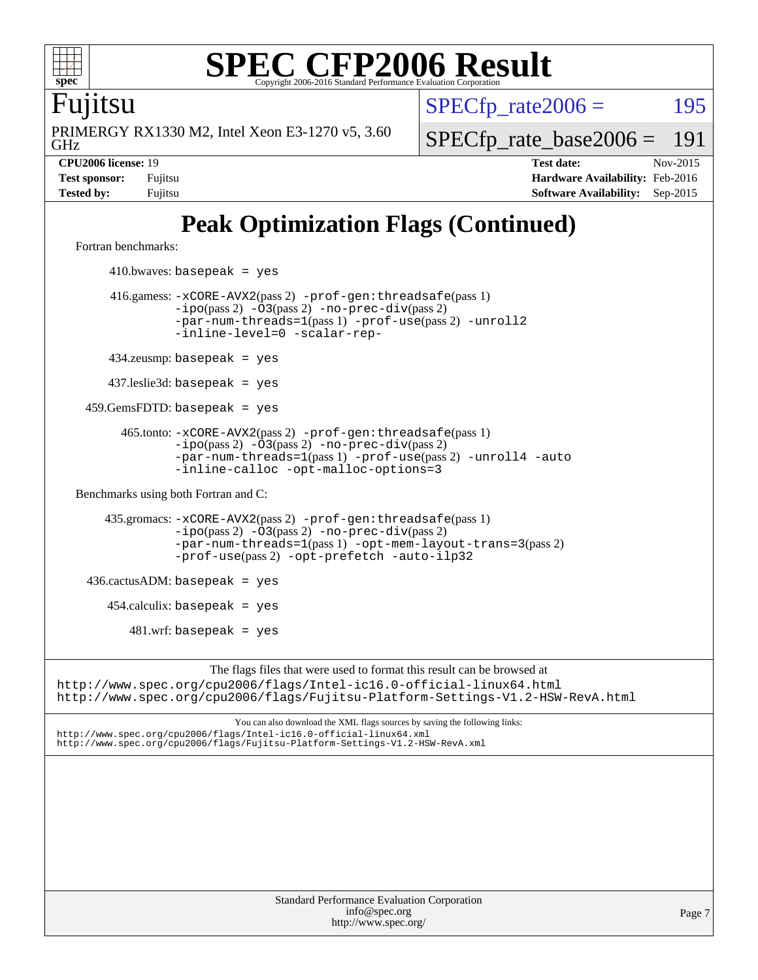

Fujitsu

GHz PRIMERGY RX1330 M2, Intel Xeon E3-1270 v5, 3.60  $SPECTp\_rate2006 = 195$ 

[SPECfp\\_rate\\_base2006 =](http://www.spec.org/auto/cpu2006/Docs/result-fields.html#SPECfpratebase2006) 191

**[CPU2006 license:](http://www.spec.org/auto/cpu2006/Docs/result-fields.html#CPU2006license)** 19 **[Test date:](http://www.spec.org/auto/cpu2006/Docs/result-fields.html#Testdate)** Nov-2015 **[Test sponsor:](http://www.spec.org/auto/cpu2006/Docs/result-fields.html#Testsponsor)** Fujitsu **[Hardware Availability:](http://www.spec.org/auto/cpu2006/Docs/result-fields.html#HardwareAvailability)** Feb-2016 **[Tested by:](http://www.spec.org/auto/cpu2006/Docs/result-fields.html#Testedby)** Fujitsu **[Software Availability:](http://www.spec.org/auto/cpu2006/Docs/result-fields.html#SoftwareAvailability)** Sep-2015

# **[Peak Optimization Flags \(Continued\)](http://www.spec.org/auto/cpu2006/Docs/result-fields.html#PeakOptimizationFlags)**

[Fortran benchmarks](http://www.spec.org/auto/cpu2006/Docs/result-fields.html#Fortranbenchmarks):

 $410.bwaves: basepeak = yes$  416.gamess: [-xCORE-AVX2](http://www.spec.org/cpu2006/results/res2016q1/cpu2006-20160111-38671.flags.html#user_peakPASS2_FFLAGSPASS2_LDFLAGS416_gamess_f-xAVX2_5f5fc0cbe2c9f62c816d3e45806c70d7)(pass 2) [-prof-gen:threadsafe](http://www.spec.org/cpu2006/results/res2016q1/cpu2006-20160111-38671.flags.html#user_peakPASS1_FFLAGSPASS1_LDFLAGS416_gamess_prof_gen_21a26eb79f378b550acd7bec9fe4467a)(pass 1) [-ipo](http://www.spec.org/cpu2006/results/res2016q1/cpu2006-20160111-38671.flags.html#user_peakPASS2_FFLAGSPASS2_LDFLAGS416_gamess_f-ipo)(pass 2) [-O3](http://www.spec.org/cpu2006/results/res2016q1/cpu2006-20160111-38671.flags.html#user_peakPASS2_FFLAGSPASS2_LDFLAGS416_gamess_f-O3)(pass 2) [-no-prec-div](http://www.spec.org/cpu2006/results/res2016q1/cpu2006-20160111-38671.flags.html#user_peakPASS2_FFLAGSPASS2_LDFLAGS416_gamess_f-no-prec-div)(pass 2) [-par-num-threads=1](http://www.spec.org/cpu2006/results/res2016q1/cpu2006-20160111-38671.flags.html#user_peakPASS1_FFLAGSPASS1_LDFLAGS416_gamess_par_num_threads_786a6ff141b4e9e90432e998842df6c2)(pass 1) [-prof-use](http://www.spec.org/cpu2006/results/res2016q1/cpu2006-20160111-38671.flags.html#user_peakPASS2_FFLAGSPASS2_LDFLAGS416_gamess_prof_use_bccf7792157ff70d64e32fe3e1250b55)(pass 2) [-unroll2](http://www.spec.org/cpu2006/results/res2016q1/cpu2006-20160111-38671.flags.html#user_peakOPTIMIZE416_gamess_f-unroll_784dae83bebfb236979b41d2422d7ec2) [-inline-level=0](http://www.spec.org/cpu2006/results/res2016q1/cpu2006-20160111-38671.flags.html#user_peakOPTIMIZE416_gamess_f-inline-level_318d07a09274ad25e8d15dbfaa68ba50) [-scalar-rep-](http://www.spec.org/cpu2006/results/res2016q1/cpu2006-20160111-38671.flags.html#user_peakOPTIMIZE416_gamess_f-disablescalarrep_abbcad04450fb118e4809c81d83c8a1d) 434.zeusmp: basepeak = yes 437.leslie3d: basepeak = yes 459.GemsFDTD: basepeak = yes 465.tonto: [-xCORE-AVX2](http://www.spec.org/cpu2006/results/res2016q1/cpu2006-20160111-38671.flags.html#user_peakPASS2_FFLAGSPASS2_LDFLAGS465_tonto_f-xAVX2_5f5fc0cbe2c9f62c816d3e45806c70d7)(pass 2) [-prof-gen:threadsafe](http://www.spec.org/cpu2006/results/res2016q1/cpu2006-20160111-38671.flags.html#user_peakPASS1_FFLAGSPASS1_LDFLAGS465_tonto_prof_gen_21a26eb79f378b550acd7bec9fe4467a)(pass 1)  $-ipo(pass 2)$  $-ipo(pass 2)$   $-03(pass 2)$   $-no-prec-div(pass 2)$  $-no-prec-div(pass 2)$ [-par-num-threads=1](http://www.spec.org/cpu2006/results/res2016q1/cpu2006-20160111-38671.flags.html#user_peakPASS1_FFLAGSPASS1_LDFLAGS465_tonto_par_num_threads_786a6ff141b4e9e90432e998842df6c2)(pass 1) [-prof-use](http://www.spec.org/cpu2006/results/res2016q1/cpu2006-20160111-38671.flags.html#user_peakPASS2_FFLAGSPASS2_LDFLAGS465_tonto_prof_use_bccf7792157ff70d64e32fe3e1250b55)(pass 2) [-unroll4](http://www.spec.org/cpu2006/results/res2016q1/cpu2006-20160111-38671.flags.html#user_peakOPTIMIZE465_tonto_f-unroll_4e5e4ed65b7fd20bdcd365bec371b81f) [-auto](http://www.spec.org/cpu2006/results/res2016q1/cpu2006-20160111-38671.flags.html#user_peakOPTIMIZE465_tonto_f-auto) [-inline-calloc](http://www.spec.org/cpu2006/results/res2016q1/cpu2006-20160111-38671.flags.html#user_peakOPTIMIZE465_tonto_f-inline-calloc) [-opt-malloc-options=3](http://www.spec.org/cpu2006/results/res2016q1/cpu2006-20160111-38671.flags.html#user_peakOPTIMIZE465_tonto_f-opt-malloc-options_13ab9b803cf986b4ee62f0a5998c2238) [Benchmarks using both Fortran and C](http://www.spec.org/auto/cpu2006/Docs/result-fields.html#BenchmarksusingbothFortranandC): 435.gromacs: [-xCORE-AVX2](http://www.spec.org/cpu2006/results/res2016q1/cpu2006-20160111-38671.flags.html#user_peakPASS2_CFLAGSPASS2_FFLAGSPASS2_LDFLAGS435_gromacs_f-xAVX2_5f5fc0cbe2c9f62c816d3e45806c70d7)(pass 2) [-prof-gen:threadsafe](http://www.spec.org/cpu2006/results/res2016q1/cpu2006-20160111-38671.flags.html#user_peakPASS1_CFLAGSPASS1_FFLAGSPASS1_LDFLAGS435_gromacs_prof_gen_21a26eb79f378b550acd7bec9fe4467a)(pass 1) [-ipo](http://www.spec.org/cpu2006/results/res2016q1/cpu2006-20160111-38671.flags.html#user_peakPASS2_CFLAGSPASS2_FFLAGSPASS2_LDFLAGS435_gromacs_f-ipo)(pass 2) [-O3](http://www.spec.org/cpu2006/results/res2016q1/cpu2006-20160111-38671.flags.html#user_peakPASS2_CFLAGSPASS2_FFLAGSPASS2_LDFLAGS435_gromacs_f-O3)(pass 2) [-no-prec-div](http://www.spec.org/cpu2006/results/res2016q1/cpu2006-20160111-38671.flags.html#user_peakPASS2_CFLAGSPASS2_FFLAGSPASS2_LDFLAGS435_gromacs_f-no-prec-div)(pass 2) [-par-num-threads=1](http://www.spec.org/cpu2006/results/res2016q1/cpu2006-20160111-38671.flags.html#user_peakPASS1_CFLAGSPASS1_FFLAGSPASS1_LDFLAGS435_gromacs_par_num_threads_786a6ff141b4e9e90432e998842df6c2)(pass 1) [-opt-mem-layout-trans=3](http://www.spec.org/cpu2006/results/res2016q1/cpu2006-20160111-38671.flags.html#user_peakPASS2_CFLAGS435_gromacs_f-opt-mem-layout-trans_a7b82ad4bd7abf52556d4961a2ae94d5)(pass 2) [-prof-use](http://www.spec.org/cpu2006/results/res2016q1/cpu2006-20160111-38671.flags.html#user_peakPASS2_CFLAGSPASS2_FFLAGSPASS2_LDFLAGS435_gromacs_prof_use_bccf7792157ff70d64e32fe3e1250b55)(pass 2) [-opt-prefetch](http://www.spec.org/cpu2006/results/res2016q1/cpu2006-20160111-38671.flags.html#user_peakOPTIMIZE435_gromacs_f-opt-prefetch) [-auto-ilp32](http://www.spec.org/cpu2006/results/res2016q1/cpu2006-20160111-38671.flags.html#user_peakCOPTIMIZE435_gromacs_f-auto-ilp32)  $436.cactusADM:basepeak = yes$  454.calculix: basepeak = yes  $481.$ wrf: basepeak = yes The flags files that were used to format this result can be browsed at <http://www.spec.org/cpu2006/flags/Intel-ic16.0-official-linux64.html> <http://www.spec.org/cpu2006/flags/Fujitsu-Platform-Settings-V1.2-HSW-RevA.html> You can also download the XML flags sources by saving the following links: <http://www.spec.org/cpu2006/flags/Intel-ic16.0-official-linux64.xml> <http://www.spec.org/cpu2006/flags/Fujitsu-Platform-Settings-V1.2-HSW-RevA.xml>